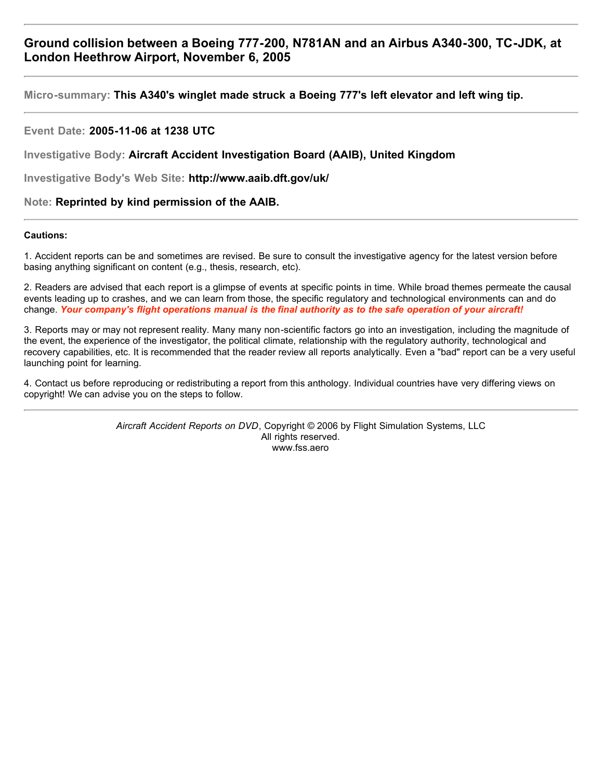**Micro-summary: This A340's winglet made struck a Boeing 777's left elevator and left wing tip.**

# **Event Date: 2005-11-06 at 1238 UTC**

**Investigative Body: Aircraft Accident Investigation Board (AAIB), United Kingdom**

**Investigative Body's Web Site: http://www.aaib.dft.gov/uk/**

# **Note: Reprinted by kind permission of the AAIB.**

#### **Cautions:**

1. Accident reports can be and sometimes are revised. Be sure to consult the investigative agency for the latest version before basing anything significant on content (e.g., thesis, research, etc).

2. Readers are advised that each report is a glimpse of events at specific points in time. While broad themes permeate the causal events leading up to crashes, and we can learn from those, the specific regulatory and technological environments can and do change. *Your company's flight operations manual is the final authority as to the safe operation of your aircraft!*

3. Reports may or may not represent reality. Many many non-scientific factors go into an investigation, including the magnitude of the event, the experience of the investigator, the political climate, relationship with the regulatory authority, technological and recovery capabilities, etc. It is recommended that the reader review all reports analytically. Even a "bad" report can be a very useful launching point for learning.

4. Contact us before reproducing or redistributing a report from this anthology. Individual countries have very differing views on copyright! We can advise you on the steps to follow.

> *Aircraft Accident Reports on DVD*, Copyright © 2006 by Flight Simulation Systems, LLC All rights reserved. www.fss.aero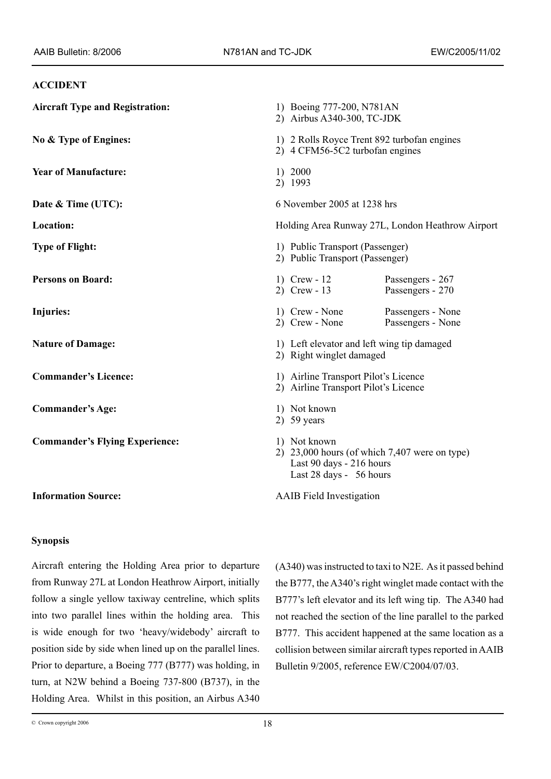#### **ACCIDENT**

| <b>Aircraft Type and Registration:</b> | 1) Boeing 777-200, N781AN<br>2) Airbus A340-300, TC-JDK                                                                |
|----------------------------------------|------------------------------------------------------------------------------------------------------------------------|
| No & Type of Engines:                  | 1) 2 Rolls Royce Trent 892 turbofan engines<br>2) 4 CFM56-5C2 turbofan engines                                         |
| <b>Year of Manufacture:</b>            | 1) 2000<br>2) 1993                                                                                                     |
| Date & Time (UTC):                     | 6 November 2005 at 1238 hrs                                                                                            |
| Location:                              | Holding Area Runway 27L, London Heathrow Airport                                                                       |
| <b>Type of Flight:</b>                 | 1) Public Transport (Passenger)<br>2) Public Transport (Passenger)                                                     |
| <b>Persons on Board:</b>               | 1) Crew - $12$<br>Passengers - 267<br>2) Crew - $13$<br>Passengers - 270                                               |
| Injuries:                              | 1) Crew - None<br>Passengers - None<br>2) Crew - None<br>Passengers - None                                             |
| <b>Nature of Damage:</b>               | 1) Left elevator and left wing tip damaged<br>2) Right winglet damaged                                                 |
| <b>Commander's Licence:</b>            | 1) Airline Transport Pilot's Licence<br>2) Airline Transport Pilot's Licence                                           |
| <b>Commander's Age:</b>                | 1) Not known<br>2) $59$ years                                                                                          |
| <b>Commander's Flying Experience:</b>  | 1) Not known<br>2) $23,000$ hours (of which 7,407 were on type)<br>Last 90 days - 216 hours<br>Last 28 days - 56 hours |
| <b>Information Source:</b>             | <b>AAIB</b> Field Investigation                                                                                        |

# **Synopsis**

Aircraft entering the Holding Area prior to departure from Runway 27L at London Heathrow Airport, initially follow a single yellow taxiway centreline, which splits into two parallel lines within the holding area. This is wide enough for two 'heavy/widebody' aircraft to position side by side when lined up on the parallel lines. Prior to departure, a Boeing 777 (B777) was holding, in turn, at N2W behind a Boeing 737-800 (B737), in the Holding Area. Whilst in this position, an Airbus A340 (A340) was instructed to taxi to N2E. As it passed behind the B777, the A340's right winglet made contact with the B777's left elevator and its left wing tip. The A340 had not reached the section of the line parallel to the parked B777. This accident happened at the same location as a collision between similar aircraft types reported in AAIB Bulletin 9/2005, reference EW/C2004/07/03.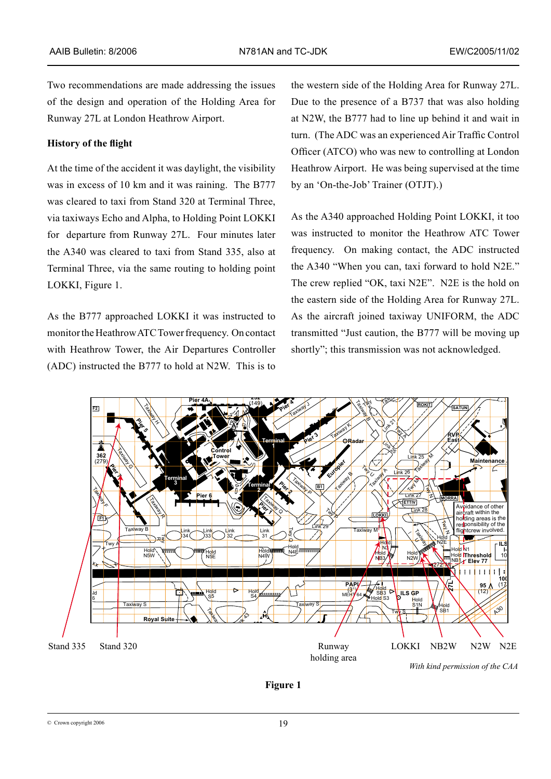Two recommendations are made addressing the issues of the design and operation of the Holding Area for Runway 27L at London Heathrow Airport.

### **History of the flight**

At the time of the accident it was daylight, the visibility was in excess of 10 km and it was raining. The B777 was cleared to taxi from Stand 320 at Terminal Three, via taxiways Echo and Alpha, to Holding Point LOKKI for departure from Runway 27L. Four minutes later the A340 was cleared to taxi from Stand 335, also at Terminal Three, via the same routing to holding point LOKKI, Figure 1.

As the B777 approached LOKKI it was instructed to monitor the Heathrow ATC Tower frequency. On contact with Heathrow Tower, the Air Departures Controller (ADC) instructed the B777 to hold at N2W. This is to

the western side of the Holding Area for Runway 27L. Due to the presence of a B737 that was also holding at N2W, the B777 had to line up behind it and wait in turn. (The ADC was an experienced Air Traffic Control Officer (ATCO) who was new to controlling at London Heathrow Airport. He was being supervised at the time by an 'On-the-Job' Trainer (OTJT).)

As the A340 approached Holding Point LOKKI, it too was instructed to monitor the Heathrow ATC Tower frequency. On making contact, the ADC instructed the A340 "When you can, taxi forward to hold N2E." The crew replied "OK, taxi N2E". N2E is the hold on the eastern side of the Holding Area for Runway 27L. As the aircraft joined taxiway UNIFORM, the ADC transmitted "Just caution, the B777 will be moving up shortly"; this transmission was not acknowledged.



**Figure 1**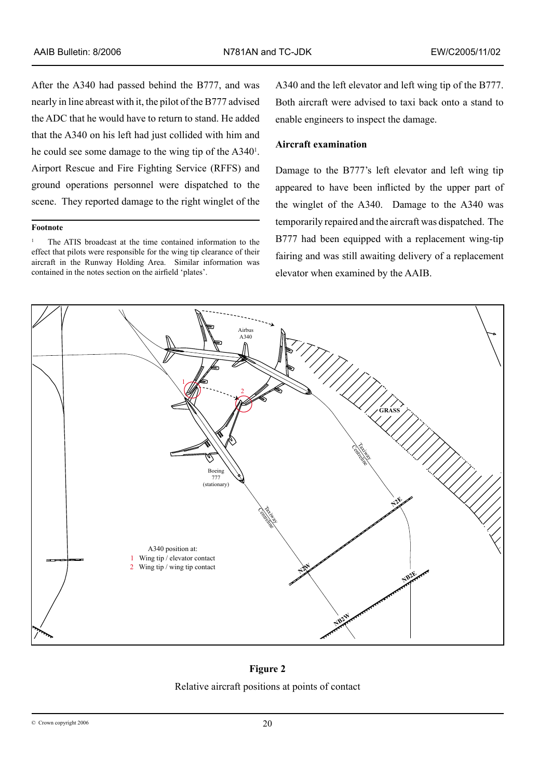After the A340 had passed behind the B777, and was nearly in line abreast with it, the pilot of the B777 advised the ADC that he would have to return to stand. He added that the A340 on his left had just collided with him and he could see some damage to the wing tip of the A340 . Airport Rescue and Fire Fighting Service (RFFS) and ground operations personnel were dispatched to the scene. They reported damage to the right winglet of the

#### **Footnote**

<sup>1</sup> The ATIS broadcast at the time contained information to the effect that pilots were responsible for the wing tip clearance of their aircraft in the Runway Holding Area. Similar information was contained in the notes section on the airfield 'plates'.

A340 and the left elevator and left wing tip of the B777. Both aircraft were advised to taxi back onto a stand to enable engineers to inspect the damage.

# **Aircraft examination**

Damage to the B777's left elevator and left wing tip appeared to have been inflicted by the upper part of the winglet of the A340. Damage to the A340 was temporarily repaired and the aircraft was dispatched. The B777 had been equipped with a replacement wing-tip fairing and was still awaiting delivery of a replacement elevator when examined by the AAIB.



**Figure 2**

Relative aircraft positions at points of contact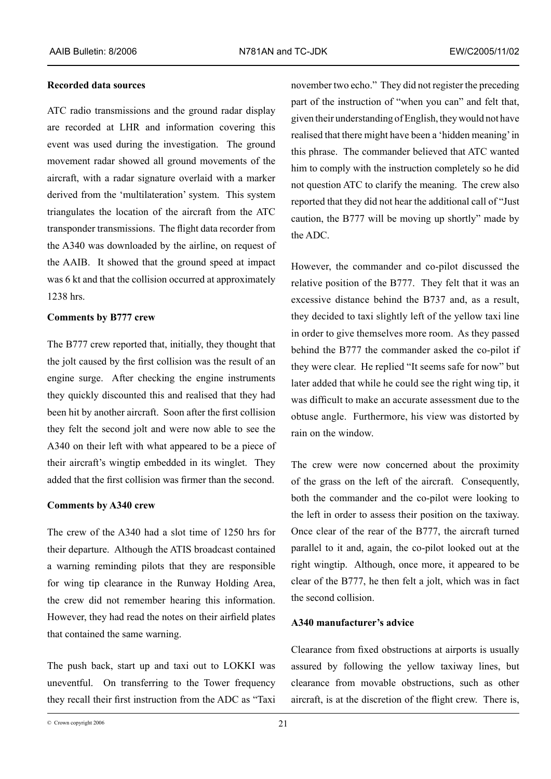### **Recorded data sources**

ATC radio transmissions and the ground radar display are recorded at LHR and information covering this event was used during the investigation. The ground movement radar showed all ground movements of the aircraft, with a radar signature overlaid with a marker derived from the 'multilateration' system. This system triangulates the location of the aircraft from the ATC transponder transmissions. The flight data recorder from the A340 was downloaded by the airline, on request of the AAIB. It showed that the ground speed at impact was 6 kt and that the collision occurred at approximately 1238 hrs.

#### **Comments by B777 crew**

The B777 crew reported that, initially, they thought that the jolt caused by the first collision was the result of an engine surge. After checking the engine instruments they quickly discounted this and realised that they had been hit by another aircraft. Soon after the first collision they felt the second jolt and were now able to see the A340 on their left with what appeared to be a piece of their aircraft's wingtip embedded in its winglet. They added that the first collision was firmer than the second.

#### **Comments by A340 crew**

The crew of the A340 had a slot time of 1250 hrs for their departure. Although the ATIS broadcast contained a warning reminding pilots that they are responsible for wing tip clearance in the Runway Holding Area, the crew did not remember hearing this information. However, they had read the notes on their airfield plates that contained the same warning.

The push back, start up and taxi out to LOKKI was uneventful. On transferring to the Tower frequency they recall their first instruction from the ADC as "Taxi november two echo." They did not register the preceding part of the instruction of "when you can" and felt that, given their understanding of English, they would not have realised that there might have been a 'hidden meaning' in this phrase. The commander believed that ATC wanted him to comply with the instruction completely so he did not question ATC to clarify the meaning. The crew also reported that they did not hear the additional call of "Just caution, the B777 will be moving up shortly" made by the ADC.

However, the commander and co-pilot discussed the relative position of the B777. They felt that it was an excessive distance behind the B737 and, as a result, they decided to taxi slightly left of the yellow taxi line in order to give themselves more room. As they passed behind the B777 the commander asked the co-pilot if they were clear. He replied "It seems safe for now" but later added that while he could see the right wing tip, it was difficult to make an accurate assessment due to the obtuse angle. Furthermore, his view was distorted by rain on the window.

The crew were now concerned about the proximity of the grass on the left of the aircraft. Consequently, both the commander and the co-pilot were looking to the left in order to assess their position on the taxiway. Once clear of the rear of the B777, the aircraft turned parallel to it and, again, the co-pilot looked out at the right wingtip. Although, once more, it appeared to be clear of the B777, he then felt a jolt, which was in fact the second collision.

### **A340 manufacturer's advice**

Clearance from fixed obstructions at airports is usually assured by following the yellow taxiway lines, but clearance from movable obstructions, such as other aircraft, is at the discretion of the flight crew. There is,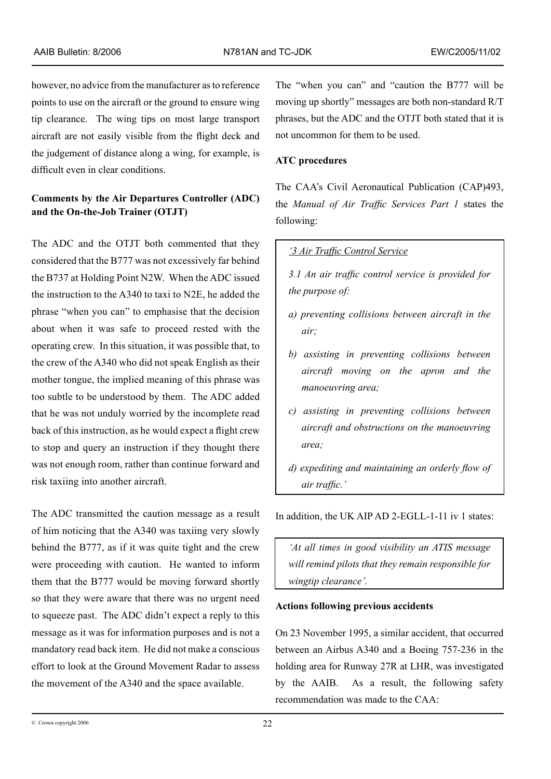however, no advice from the manufacturer as to reference points to use on the aircraft or the ground to ensure wing tip clearance. The wing tips on most large transport aircraft are not easily visible from the flight deck and the judgement of distance along a wing, for example, is difficult even in clear conditions.

# **Comments by the Air Departures Controller (ADC) and the On-the-Job Trainer (OTJT)**

The ADC and the OTJT both commented that they considered that the B777 was not excessively far behind the B737 at Holding Point N2W. When the ADC issued the instruction to the A340 to taxi to N2E, he added the phrase "when you can" to emphasise that the decision about when it was safe to proceed rested with the operating crew. In this situation, it was possible that, to the crew of the A340 who did not speak English as their mother tongue, the implied meaning of this phrase was too subtle to be understood by them. The ADC added that he was not unduly worried by the incomplete read back of this instruction, as he would expect a flight crew to stop and query an instruction if they thought there was not enough room, rather than continue forward and risk taxiing into another aircraft.

The ADC transmitted the caution message as a result of him noticing that the A340 was taxiing very slowly behind the B777, as if it was quite tight and the crew were proceeding with caution. He wanted to inform them that the B777 would be moving forward shortly so that they were aware that there was no urgent need to squeeze past. The ADC didn't expect a reply to this message as it was for information purposes and is not a mandatory read back item. He did not make a conscious effort to look at the Ground Movement Radar to assess the movement of the A340 and the space available.

The "when you can" and "caution the B777 will be moving up shortly" messages are both non-standard R/T phrases, but the ADC and the OTJT both stated that it is not uncommon for them to be used.

# **ATC procedures**

The CAA's Civil Aeronautical Publication (CAP)493, the *Manual of Air Traffic Services Part 1* states the following:

# *'3 Air Traffic Control Service*

- *3.1 An air traffic control service is provided for the purpose of:*
- *a) preventing collisions between aircraft in the air;*
- *b) assisting in preventing collisions between aircraft moving on the apron and the manoeuvring area;*
- *c) assisting in preventing collisions between aircraft and obstructions on the manoeuvring area;*
- *d) expediting and maintaining an orderly flow of air traffic.'*

In addition, the UK AIP AD 2-EGLL-1-11 iv 1 states:

*'At all times in good visibility an ATIS message will remind pilots that they remain responsible for wingtip clearance'.*

### **Actions following previous accidents**

On 23 November 1995, a similar accident, that occurred between an Airbus A340 and a Boeing 757-236 in the holding area for Runway 27R at LHR, was investigated by the AAIB. As a result, the following safety recommendation was made to the CAA: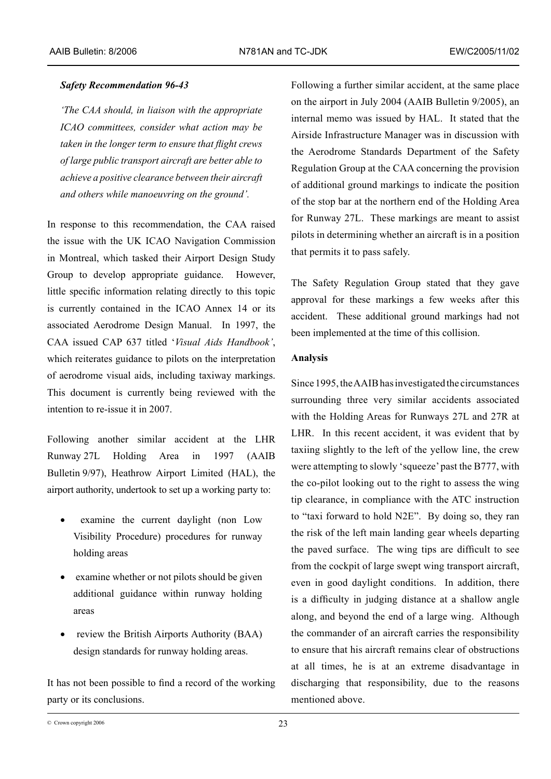### *Safety Recommendation 96-43*

*'The CAA should, in liaison with the appropriate ICAO committees, consider what action may be taken in the longer term to ensure that flight crews of large public transport aircraft are better able to achieve a positive clearance between their aircraft and others while manoeuvring on the ground'.*

In response to this recommendation, the CAA raised the issue with the UK ICAO Navigation Commission in Montreal, which tasked their Airport Design Study Group to develop appropriate guidance. However, little specific information relating directly to this topic is currently contained in the ICAO Annex 14 or its associated Aerodrome Design Manual. In 1997, the CAA issued CAP 637 titled '*Visual Aids Handbook'*, which reiterates guidance to pilots on the interpretation of aerodrome visual aids, including taxiway markings. This document is currently being reviewed with the intention to re-issue it in 2007.

Following another similar accident at the LHR Runway 27L Holding Area in 1997 (AAIB Bulletin 9/97), Heathrow Airport Limited (HAL), the airport authority, undertook to set up a working party to:

- examine the current daylight (non Low Visibility Procedure) procedures for runway holding areas
- examine whether or not pilots should be given additional guidance within runway holding areas
- review the British Airports Authority (BAA) design standards for runway holding areas.

It has not been possible to find a record of the working party or its conclusions.

Following a further similar accident, at the same place on the airport in July 2004 (AAIB Bulletin 9/2005), an internal memo was issued by HAL. It stated that the Airside Infrastructure Manager was in discussion with the Aerodrome Standards Department of the Safety Regulation Group at the CAA concerning the provision of additional ground markings to indicate the position of the stop bar at the northern end of the Holding Area for Runway 27L. These markings are meant to assist pilots in determining whether an aircraft is in a position that permits it to pass safely.

The Safety Regulation Group stated that they gave approval for these markings a few weeks after this accident. These additional ground markings had not been implemented at the time of this collision.

### **Analysis**

Since 1995, the AAIB has investigated the circumstances surrounding three very similar accidents associated with the Holding Areas for Runways 27L and 27R at LHR. In this recent accident, it was evident that by taxiing slightly to the left of the yellow line, the crew were attempting to slowly 'squeeze' past the B777, with the co-pilot looking out to the right to assess the wing tip clearance, in compliance with the ATC instruction to "taxi forward to hold N2E". By doing so, they ran the risk of the left main landing gear wheels departing the paved surface. The wing tips are difficult to see from the cockpit of large swept wing transport aircraft, even in good daylight conditions. In addition, there is a difficulty in judging distance at a shallow angle along, and beyond the end of a large wing. Although the commander of an aircraft carries the responsibility to ensure that his aircraft remains clear of obstructions at all times, he is at an extreme disadvantage in discharging that responsibility, due to the reasons mentioned above.